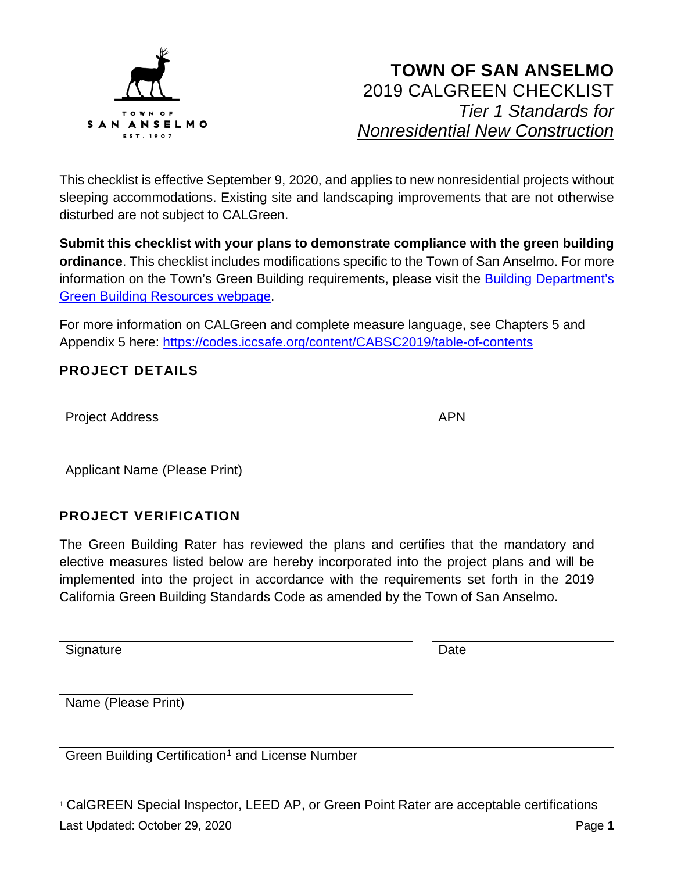

This checklist is effective September 9, 2020, and applies to new nonresidential projects without sleeping accommodations. Existing site and landscaping improvements that are not otherwise disturbed are not subject to CALGreen.

**Submit this checklist with your plans to demonstrate compliance with the green building ordinance**. This checklist includes modifications specific to the Town of San Anselmo. For more information on the Town's Green Building requirements, please visit the [Building Department's](https://www.townofsananselmo.org/1228/Green-Building-Resources)  [Green Building Resources webpage.](https://www.townofsananselmo.org/1228/Green-Building-Resources)

For more information on CALGreen and complete measure language, see Chapters 5 and Appendix 5 here:<https://codes.iccsafe.org/content/CABSC2019/table-of-contents>

#### **PROJECT DETAILS**

| <b>Project Address</b> | APN |
|------------------------|-----|

Applicant Name (Please Print)

#### **PROJECT VERIFICATION**

The Green Building Rater has reviewed the plans and certifies that the mandatory and elective measures listed below are hereby incorporated into the project plans and will be implemented into the project in accordance with the requirements set forth in the 2019 California Green Building Standards Code as amended by the Town of San Anselmo.

Signature Date **Date** 

Name (Please Print)

Green Building Certification<sup>[1](#page-0-0)</sup> and License Number

<span id="page-0-0"></span>Last Updated: October 29, 2020 Page **1** <sup>1</sup> CalGREEN Special Inspector, LEED AP, or Green Point Rater are acceptable certifications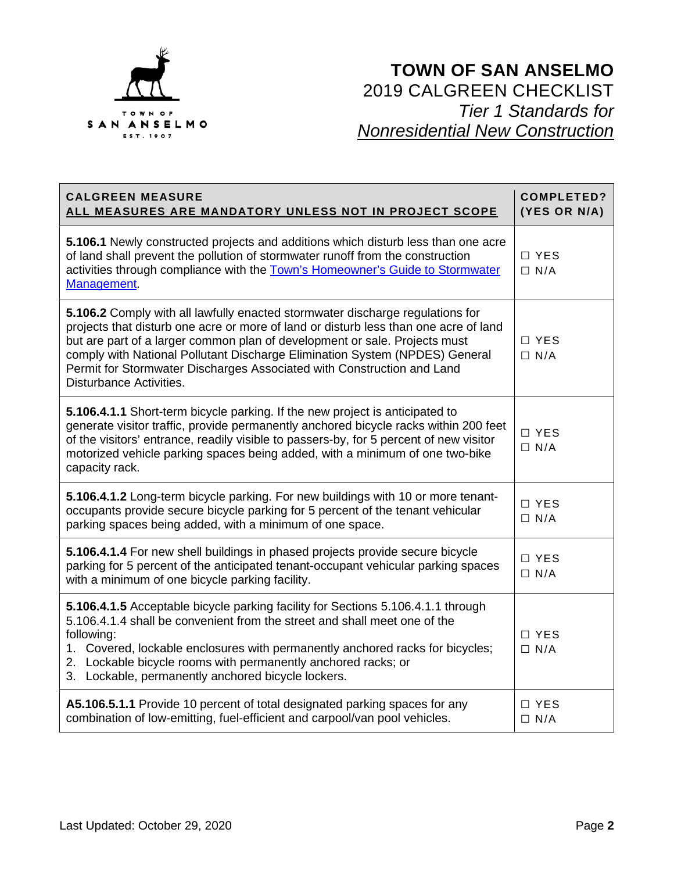

| <b>CALGREEN MEASURE</b><br>ALL MEASURES ARE MANDATORY UNLESS NOT IN PROJECT SCOPE                                                                                                                                                                                                                                                                                                                                                       | <b>COMPLETED?</b><br>(YES OR N/A) |
|-----------------------------------------------------------------------------------------------------------------------------------------------------------------------------------------------------------------------------------------------------------------------------------------------------------------------------------------------------------------------------------------------------------------------------------------|-----------------------------------|
| 5.106.1 Newly constructed projects and additions which disturb less than one acre<br>of land shall prevent the pollution of stormwater runoff from the construction<br>activities through compliance with the Town's Homeowner's Guide to Stormwater<br>Management.                                                                                                                                                                     | □ YES<br>$\Box$ N/A               |
| 5.106.2 Comply with all lawfully enacted stormwater discharge regulations for<br>projects that disturb one acre or more of land or disturb less than one acre of land<br>but are part of a larger common plan of development or sale. Projects must<br>comply with National Pollutant Discharge Elimination System (NPDES) General<br>Permit for Stormwater Discharges Associated with Construction and Land<br>Disturbance Activities. | $\Box$ YES<br>$\Box$ N/A          |
| 5.106.4.1.1 Short-term bicycle parking. If the new project is anticipated to<br>generate visitor traffic, provide permanently anchored bicycle racks within 200 feet<br>of the visitors' entrance, readily visible to passers-by, for 5 percent of new visitor<br>motorized vehicle parking spaces being added, with a minimum of one two-bike<br>capacity rack.                                                                        | □ YES<br>$\Box$ N/A               |
| 5.106.4.1.2 Long-term bicycle parking. For new buildings with 10 or more tenant-<br>occupants provide secure bicycle parking for 5 percent of the tenant vehicular<br>parking spaces being added, with a minimum of one space.                                                                                                                                                                                                          | □ YES<br>$\Box$ N/A               |
| 5.106.4.1.4 For new shell buildings in phased projects provide secure bicycle<br>parking for 5 percent of the anticipated tenant-occupant vehicular parking spaces<br>with a minimum of one bicycle parking facility.                                                                                                                                                                                                                   | □ YES<br>$\Box$ N/A               |
| 5.106.4.1.5 Acceptable bicycle parking facility for Sections 5.106.4.1.1 through<br>5.106.4.1.4 shall be convenient from the street and shall meet one of the<br>following:<br>1. Covered, lockable enclosures with permanently anchored racks for bicycles;<br>2. Lockable bicycle rooms with permanently anchored racks; or<br>3. Lockable, permanently anchored bicycle lockers.                                                     | □ YES<br>$\Box$ N/A               |
| A5.106.5.1.1 Provide 10 percent of total designated parking spaces for any<br>combination of low-emitting, fuel-efficient and carpool/van pool vehicles.                                                                                                                                                                                                                                                                                | $\Box$ YES<br>$\Box$ N/A          |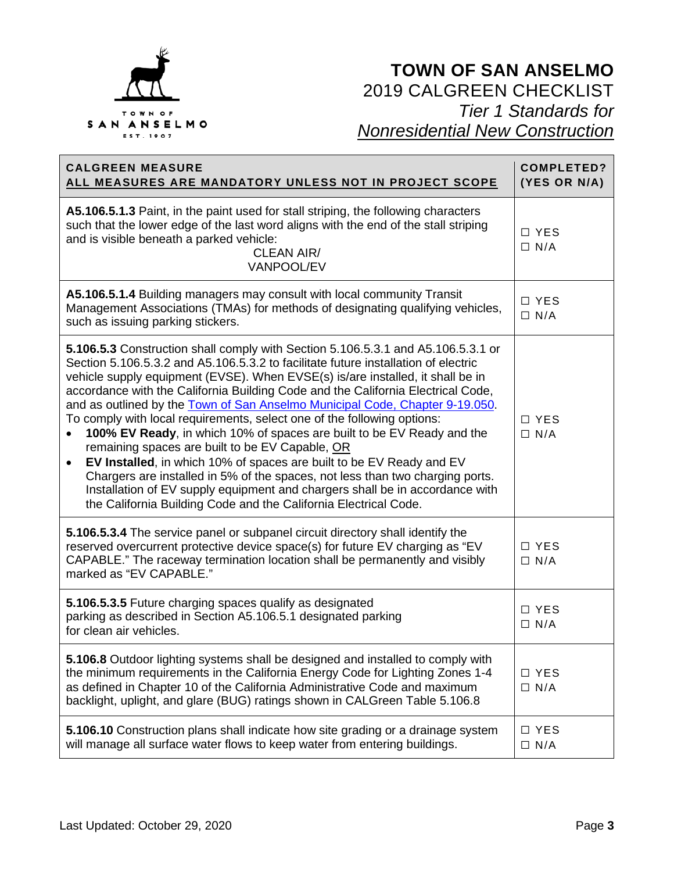

| <b>CALGREEN MEASURE</b><br>ALL MEASURES ARE MANDATORY UNLESS NOT IN PROJECT SCOPE                                                                                                                                                                                                                                                                                                                                                                                                                                                                                                                                                                                                                                                                                                                                                                                                                                                                                     | <b>COMPLETED?</b><br>(YES OR N/A) |
|-----------------------------------------------------------------------------------------------------------------------------------------------------------------------------------------------------------------------------------------------------------------------------------------------------------------------------------------------------------------------------------------------------------------------------------------------------------------------------------------------------------------------------------------------------------------------------------------------------------------------------------------------------------------------------------------------------------------------------------------------------------------------------------------------------------------------------------------------------------------------------------------------------------------------------------------------------------------------|-----------------------------------|
| A5.106.5.1.3 Paint, in the paint used for stall striping, the following characters<br>such that the lower edge of the last word aligns with the end of the stall striping<br>and is visible beneath a parked vehicle:<br><b>CLEAN AIR/</b><br>VANPOOL/EV                                                                                                                                                                                                                                                                                                                                                                                                                                                                                                                                                                                                                                                                                                              | $\Box$ YES<br>$\Box$ N/A          |
| A5.106.5.1.4 Building managers may consult with local community Transit<br>Management Associations (TMAs) for methods of designating qualifying vehicles,<br>such as issuing parking stickers.                                                                                                                                                                                                                                                                                                                                                                                                                                                                                                                                                                                                                                                                                                                                                                        | $\Box$ YES<br>$\Box$ N/A          |
| <b>5.106.5.3</b> Construction shall comply with Section 5.106.5.3.1 and A5.106.5.3.1 or<br>Section 5.106.5.3.2 and A5.106.5.3.2 to facilitate future installation of electric<br>vehicle supply equipment (EVSE). When EVSE(s) is/are installed, it shall be in<br>accordance with the California Building Code and the California Electrical Code,<br>and as outlined by the Town of San Anselmo Municipal Code, Chapter 9-19.050.<br>To comply with local requirements, select one of the following options:<br>100% EV Ready, in which 10% of spaces are built to be EV Ready and the<br>remaining spaces are built to be EV Capable, OR<br>EV Installed, in which 10% of spaces are built to be EV Ready and EV<br>$\bullet$<br>Chargers are installed in 5% of the spaces, not less than two charging ports.<br>Installation of EV supply equipment and chargers shall be in accordance with<br>the California Building Code and the California Electrical Code. | $\Box YFS$<br>$\Box$ N/A          |
| 5.106.5.3.4 The service panel or subpanel circuit directory shall identify the<br>reserved overcurrent protective device space(s) for future EV charging as "EV<br>CAPABLE." The raceway termination location shall be permanently and visibly<br>marked as "EV CAPABLE."                                                                                                                                                                                                                                                                                                                                                                                                                                                                                                                                                                                                                                                                                             | $\Box$ YES<br>$\Box$ N/A          |
| 5.106.5.3.5 Future charging spaces qualify as designated<br>parking as described in Section A5.106.5.1 designated parking<br>for clean air vehicles.                                                                                                                                                                                                                                                                                                                                                                                                                                                                                                                                                                                                                                                                                                                                                                                                                  | $\Box$ YES<br>$\Box$ N/A          |
| 5.106.8 Outdoor lighting systems shall be designed and installed to comply with<br>the minimum requirements in the California Energy Code for Lighting Zones 1-4<br>as defined in Chapter 10 of the California Administrative Code and maximum<br>backlight, uplight, and glare (BUG) ratings shown in CALGreen Table 5.106.8                                                                                                                                                                                                                                                                                                                                                                                                                                                                                                                                                                                                                                         | □ YES<br>$\Box$ N/A               |
| 5.106.10 Construction plans shall indicate how site grading or a drainage system<br>will manage all surface water flows to keep water from entering buildings.                                                                                                                                                                                                                                                                                                                                                                                                                                                                                                                                                                                                                                                                                                                                                                                                        | □ YES<br>$\Box$ N/A               |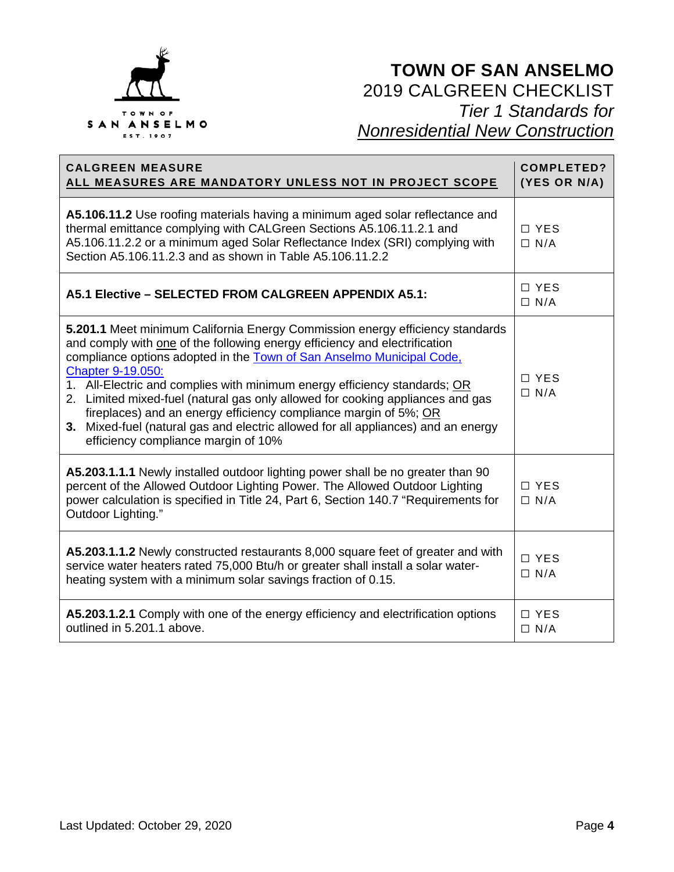

| <b>CALGREEN MEASURE</b><br>ALL MEASURES ARE MANDATORY UNLESS NOT IN PROJECT SCOPE                                                                                                                                                                                                                                                                                                                                                                                                                                                                                                                                        | <b>COMPLETED?</b><br>(YES OR N/A) |
|--------------------------------------------------------------------------------------------------------------------------------------------------------------------------------------------------------------------------------------------------------------------------------------------------------------------------------------------------------------------------------------------------------------------------------------------------------------------------------------------------------------------------------------------------------------------------------------------------------------------------|-----------------------------------|
| A5.106.11.2 Use roofing materials having a minimum aged solar reflectance and<br>thermal emittance complying with CALGreen Sections A5.106.11.2.1 and<br>A5.106.11.2.2 or a minimum aged Solar Reflectance Index (SRI) complying with<br>Section A5,106,11,2,3 and as shown in Table A5,106,11,2,2                                                                                                                                                                                                                                                                                                                       | □ YES<br>$\Box$ N/A               |
| A5.1 Elective - SELECTED FROM CALGREEN APPENDIX A5.1:                                                                                                                                                                                                                                                                                                                                                                                                                                                                                                                                                                    | $\Box$ YES<br>$\Box$ N/A          |
| 5.201.1 Meet minimum California Energy Commission energy efficiency standards<br>and comply with one of the following energy efficiency and electrification<br>compliance options adopted in the Town of San Anselmo Municipal Code,<br>Chapter 9-19.050:<br>1. All-Electric and complies with minimum energy efficiency standards; OR<br>2. Limited mixed-fuel (natural gas only allowed for cooking appliances and gas<br>fireplaces) and an energy efficiency compliance margin of 5%; OR<br>3. Mixed-fuel (natural gas and electric allowed for all appliances) and an energy<br>efficiency compliance margin of 10% | $\Box$ YES<br>$\Box$ N/A          |
| A5.203.1.1.1 Newly installed outdoor lighting power shall be no greater than 90<br>percent of the Allowed Outdoor Lighting Power. The Allowed Outdoor Lighting<br>power calculation is specified in Title 24, Part 6, Section 140.7 "Requirements for<br>Outdoor Lighting."                                                                                                                                                                                                                                                                                                                                              | $\Box$ YES<br>$\Box$ N/A          |
| A5.203.1.1.2 Newly constructed restaurants 8,000 square feet of greater and with<br>service water heaters rated 75,000 Btu/h or greater shall install a solar water-<br>heating system with a minimum solar savings fraction of 0.15.                                                                                                                                                                                                                                                                                                                                                                                    | □ YES<br>$\Box$ N/A               |
| A5.203.1.2.1 Comply with one of the energy efficiency and electrification options<br>outlined in 5.201.1 above.                                                                                                                                                                                                                                                                                                                                                                                                                                                                                                          | □ YES<br>$\Box$ N/A               |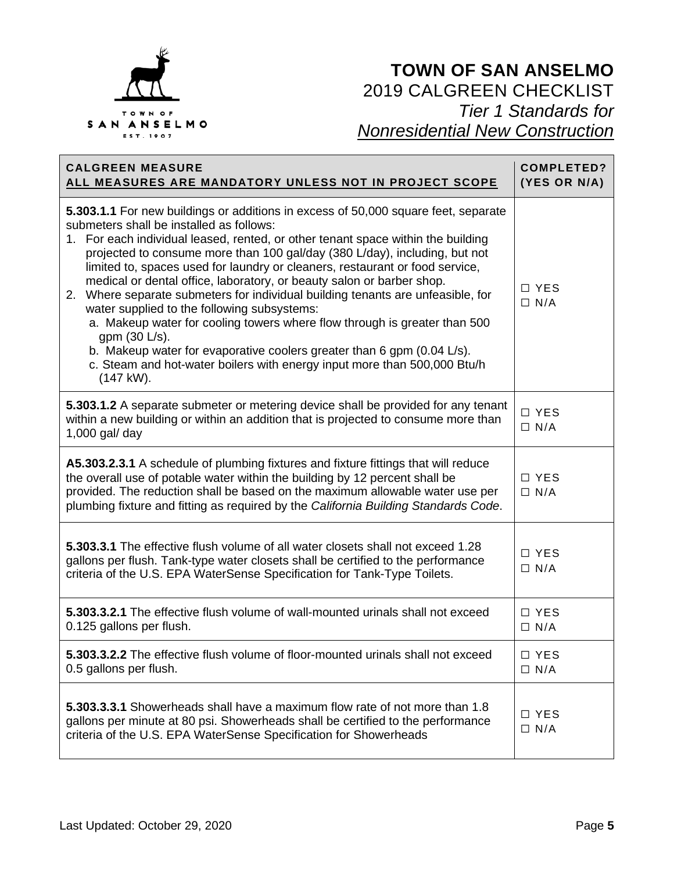

| <b>CALGREEN MEASURE</b><br><u>ALL MEASURES ARE MANDATORY UNLESS NOT IN PROJECT SCOPE</u>                                                                                                                                                                                                                                                                                                                                                                                                                                                                                                                                                                                                                                                                                                                                                                               | <b>COMPLETED?</b><br>(YES OR N/A) |
|------------------------------------------------------------------------------------------------------------------------------------------------------------------------------------------------------------------------------------------------------------------------------------------------------------------------------------------------------------------------------------------------------------------------------------------------------------------------------------------------------------------------------------------------------------------------------------------------------------------------------------------------------------------------------------------------------------------------------------------------------------------------------------------------------------------------------------------------------------------------|-----------------------------------|
| 5.303.1.1 For new buildings or additions in excess of 50,000 square feet, separate<br>submeters shall be installed as follows:<br>1. For each individual leased, rented, or other tenant space within the building<br>projected to consume more than 100 gal/day (380 L/day), including, but not<br>limited to, spaces used for laundry or cleaners, restaurant or food service,<br>medical or dental office, laboratory, or beauty salon or barber shop.<br>2. Where separate submeters for individual building tenants are unfeasible, for<br>water supplied to the following subsystems:<br>a. Makeup water for cooling towers where flow through is greater than 500<br>gpm (30 L/s).<br>b. Makeup water for evaporative coolers greater than 6 gpm (0.04 L/s).<br>c. Steam and hot-water boilers with energy input more than 500,000 Btu/h<br>$(147 \text{ kW}).$ | □ YES<br>$\Box$ N/A               |
| 5.303.1.2 A separate submeter or metering device shall be provided for any tenant<br>within a new building or within an addition that is projected to consume more than<br>$1,000$ gal/ day                                                                                                                                                                                                                                                                                                                                                                                                                                                                                                                                                                                                                                                                            | □ YES<br>$\Box$ N/A               |
| A5.303.2.3.1 A schedule of plumbing fixtures and fixture fittings that will reduce<br>the overall use of potable water within the building by 12 percent shall be<br>provided. The reduction shall be based on the maximum allowable water use per<br>plumbing fixture and fitting as required by the California Building Standards Code.                                                                                                                                                                                                                                                                                                                                                                                                                                                                                                                              | □ YES<br>$\Box$ N/A               |
| 5.303.3.1 The effective flush volume of all water closets shall not exceed 1.28<br>gallons per flush. Tank-type water closets shall be certified to the performance<br>criteria of the U.S. EPA WaterSense Specification for Tank-Type Toilets.                                                                                                                                                                                                                                                                                                                                                                                                                                                                                                                                                                                                                        | □ YES<br>$\Box$ N/A               |
| 5.303.3.2.1 The effective flush volume of wall-mounted urinals shall not exceed<br>0.125 gallons per flush.                                                                                                                                                                                                                                                                                                                                                                                                                                                                                                                                                                                                                                                                                                                                                            | □ YES<br>$\Box$ N/A               |
| 5.303.3.2.2 The effective flush volume of floor-mounted urinals shall not exceed<br>0.5 gallons per flush.                                                                                                                                                                                                                                                                                                                                                                                                                                                                                                                                                                                                                                                                                                                                                             | □ YES<br>$\Box$ N/A               |
| 5.303.3.3.1 Showerheads shall have a maximum flow rate of not more than 1.8<br>gallons per minute at 80 psi. Showerheads shall be certified to the performance<br>criteria of the U.S. EPA WaterSense Specification for Showerheads                                                                                                                                                                                                                                                                                                                                                                                                                                                                                                                                                                                                                                    | □ YES<br>$\Box$ N/A               |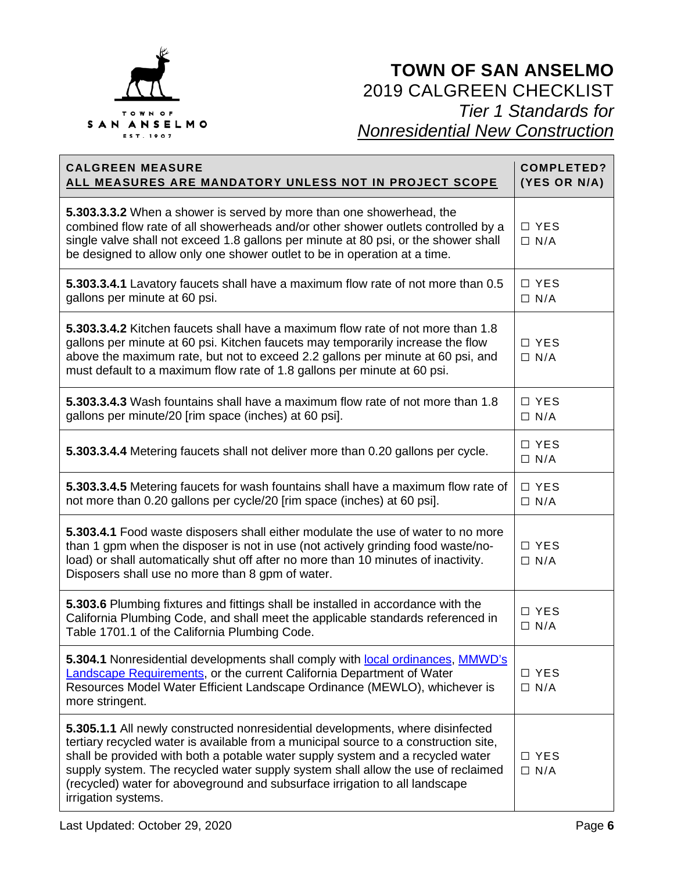

| <b>CALGREEN MEASURE</b><br>ALL MEASURES ARE MANDATORY UNLESS NOT IN PROJECT SCOPE                                                                                                                                                                                                                                                                                                                                                                  | <b>COMPLETED?</b><br>(YES OR N/A) |
|----------------------------------------------------------------------------------------------------------------------------------------------------------------------------------------------------------------------------------------------------------------------------------------------------------------------------------------------------------------------------------------------------------------------------------------------------|-----------------------------------|
| 5.303.3.3.2 When a shower is served by more than one showerhead, the<br>combined flow rate of all showerheads and/or other shower outlets controlled by a<br>single valve shall not exceed 1.8 gallons per minute at 80 psi, or the shower shall<br>be designed to allow only one shower outlet to be in operation at a time.                                                                                                                      | $\Box$ YES<br>$\Box$ N/A          |
| 5.303.3.4.1 Lavatory faucets shall have a maximum flow rate of not more than 0.5<br>gallons per minute at 60 psi.                                                                                                                                                                                                                                                                                                                                  | $\Box$ YES<br>$\Box$ N/A          |
| 5.303.3.4.2 Kitchen faucets shall have a maximum flow rate of not more than 1.8<br>gallons per minute at 60 psi. Kitchen faucets may temporarily increase the flow<br>above the maximum rate, but not to exceed 2.2 gallons per minute at 60 psi, and<br>must default to a maximum flow rate of 1.8 gallons per minute at 60 psi.                                                                                                                  | $\Box$ YES<br>$\Box$ N/A          |
| 5.303.3.4.3 Wash fountains shall have a maximum flow rate of not more than 1.8<br>gallons per minute/20 [rim space (inches) at 60 psi].                                                                                                                                                                                                                                                                                                            | $\Box$ YES<br>$\Box$ N/A          |
| 5.303.3.4.4 Metering faucets shall not deliver more than 0.20 gallons per cycle.                                                                                                                                                                                                                                                                                                                                                                   | $\Box$ YES<br>$\Box$ N/A          |
| 5.303.3.4.5 Metering faucets for wash fountains shall have a maximum flow rate of<br>not more than 0.20 gallons per cycle/20 [rim space (inches) at 60 psi].                                                                                                                                                                                                                                                                                       | $\Box$ YES<br>$\Box$ N/A          |
| 5.303.4.1 Food waste disposers shall either modulate the use of water to no more<br>than 1 gpm when the disposer is not in use (not actively grinding food waste/no-<br>load) or shall automatically shut off after no more than 10 minutes of inactivity.<br>Disposers shall use no more than 8 gpm of water.                                                                                                                                     | □ YES<br>$\Box$ N/A               |
| 5.303.6 Plumbing fixtures and fittings shall be installed in accordance with the<br>California Plumbing Code, and shall meet the applicable standards referenced in<br>Table 1701.1 of the California Plumbing Code.                                                                                                                                                                                                                               | □ YES<br>$\Box$ N/A               |
| 5.304.1 Nonresidential developments shall comply with local ordinances, MMWD's<br><b>Landscape Requirements, or the current California Department of Water</b><br>Resources Model Water Efficient Landscape Ordinance (MEWLO), whichever is<br>more stringent.                                                                                                                                                                                     | □ YES<br>$\Box$ N/A               |
| 5.305.1.1 All newly constructed nonresidential developments, where disinfected<br>tertiary recycled water is available from a municipal source to a construction site,<br>shall be provided with both a potable water supply system and a recycled water<br>supply system. The recycled water supply system shall allow the use of reclaimed<br>(recycled) water for aboveground and subsurface irrigation to all landscape<br>irrigation systems. | □ YES<br>$\Box$ N/A               |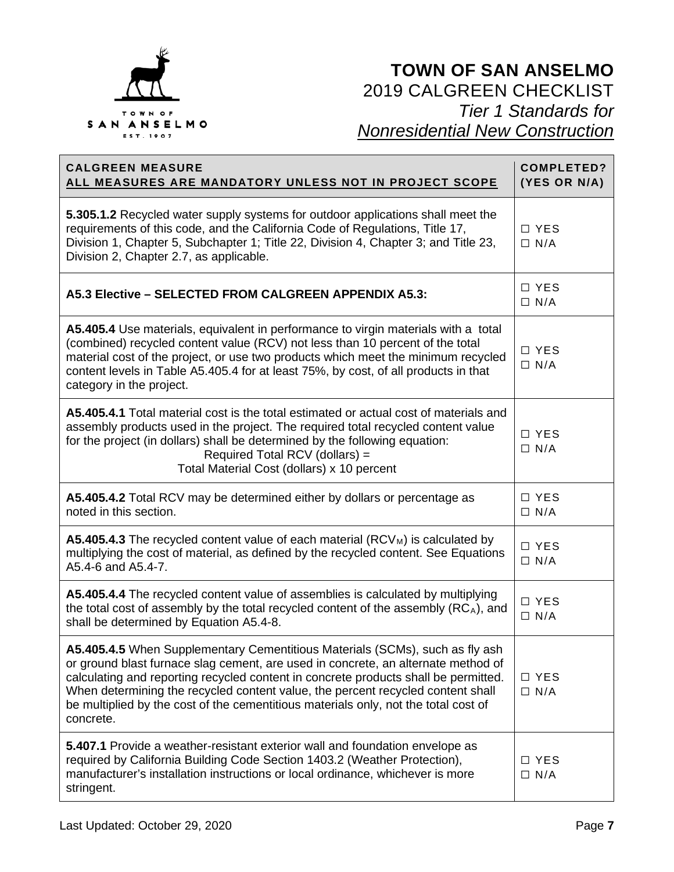

| <b>CALGREEN MEASURE</b><br>ALL MEASURES ARE MANDATORY UNLESS NOT IN PROJECT SCOPE                                                                                                                                                                                                                                                                                                                                                               | <b>COMPLETED?</b><br>(YES OR N/A) |
|-------------------------------------------------------------------------------------------------------------------------------------------------------------------------------------------------------------------------------------------------------------------------------------------------------------------------------------------------------------------------------------------------------------------------------------------------|-----------------------------------|
| 5.305.1.2 Recycled water supply systems for outdoor applications shall meet the<br>requirements of this code, and the California Code of Regulations, Title 17,<br>Division 1, Chapter 5, Subchapter 1; Title 22, Division 4, Chapter 3; and Title 23,<br>Division 2, Chapter 2.7, as applicable.                                                                                                                                               | □ YES<br>$\Box$ N/A               |
| A5.3 Elective - SELECTED FROM CALGREEN APPENDIX A5.3:                                                                                                                                                                                                                                                                                                                                                                                           | $\Box$ YES<br>$\Box$ N/A          |
| A5.405.4 Use materials, equivalent in performance to virgin materials with a total<br>(combined) recycled content value (RCV) not less than 10 percent of the total<br>material cost of the project, or use two products which meet the minimum recycled<br>content levels in Table A5.405.4 for at least 75%, by cost, of all products in that<br>category in the project.                                                                     | □ YES<br>$\Box$ N/A               |
| A5.405.4.1 Total material cost is the total estimated or actual cost of materials and<br>assembly products used in the project. The required total recycled content value<br>for the project (in dollars) shall be determined by the following equation:<br>Required Total RCV (dollars) =<br>Total Material Cost (dollars) x 10 percent                                                                                                        | □ YES<br>$\Box$ N/A               |
| A5.405.4.2 Total RCV may be determined either by dollars or percentage as<br>noted in this section.                                                                                                                                                                                                                                                                                                                                             | $\Box$ YES<br>$\Box$ N/A          |
| <b>A5.405.4.3</b> The recycled content value of each material $(RCV_M)$ is calculated by<br>multiplying the cost of material, as defined by the recycled content. See Equations<br>A5.4-6 and A5.4-7.                                                                                                                                                                                                                                           | □ YES<br>$\Box$ N/A               |
| A5.405.4.4 The recycled content value of assemblies is calculated by multiplying<br>the total cost of assembly by the total recycled content of the assembly (RCA), and<br>shall be determined by Equation A5.4-8.                                                                                                                                                                                                                              | □ YES<br>$\Box$ N/A               |
| A5.405.4.5 When Supplementary Cementitious Materials (SCMs), such as fly ash<br>or ground blast furnace slag cement, are used in concrete, an alternate method of<br>calculating and reporting recycled content in concrete products shall be permitted.<br>When determining the recycled content value, the percent recycled content shall<br>be multiplied by the cost of the cementitious materials only, not the total cost of<br>concrete. | □ YES<br>$\Box$ N/A               |
| 5.407.1 Provide a weather-resistant exterior wall and foundation envelope as<br>required by California Building Code Section 1403.2 (Weather Protection),<br>manufacturer's installation instructions or local ordinance, whichever is more<br>stringent.                                                                                                                                                                                       | □ YES<br>$\Box$ N/A               |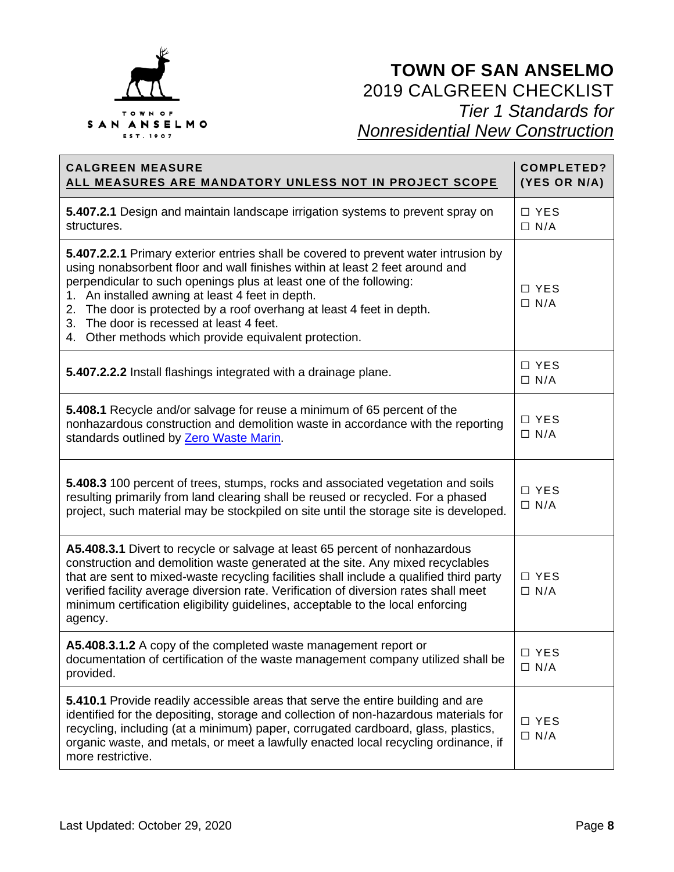

| <b>CALGREEN MEASURE</b><br>ALL MEASURES ARE MANDATORY UNLESS NOT IN PROJECT SCOPE                                                                                                                                                                                                                                                                                                                                                                                           | <b>COMPLETED?</b><br>(YES OR N/A) |
|-----------------------------------------------------------------------------------------------------------------------------------------------------------------------------------------------------------------------------------------------------------------------------------------------------------------------------------------------------------------------------------------------------------------------------------------------------------------------------|-----------------------------------|
| 5.407.2.1 Design and maintain landscape irrigation systems to prevent spray on<br>structures.                                                                                                                                                                                                                                                                                                                                                                               | □ YES<br>$\Box$ N/A               |
| 5.407.2.2.1 Primary exterior entries shall be covered to prevent water intrusion by<br>using nonabsorbent floor and wall finishes within at least 2 feet around and<br>perpendicular to such openings plus at least one of the following:<br>1. An installed awning at least 4 feet in depth.<br>2. The door is protected by a roof overhang at least 4 feet in depth.<br>3. The door is recessed at least 4 feet.<br>4. Other methods which provide equivalent protection. | □ YES<br>$\Box$ N/A               |
| 5.407.2.2.2 Install flashings integrated with a drainage plane.                                                                                                                                                                                                                                                                                                                                                                                                             | $\Box$ YES<br>$\Box$ N/A          |
| 5.408.1 Recycle and/or salvage for reuse a minimum of 65 percent of the<br>nonhazardous construction and demolition waste in accordance with the reporting<br>standards outlined by Zero Waste Marin.                                                                                                                                                                                                                                                                       | □ YES<br>$\Box$ N/A               |
| 5.408.3 100 percent of trees, stumps, rocks and associated vegetation and soils<br>resulting primarily from land clearing shall be reused or recycled. For a phased<br>project, such material may be stockpiled on site until the storage site is developed.                                                                                                                                                                                                                | □ YES<br>$\Box$ N/A               |
| A5.408.3.1 Divert to recycle or salvage at least 65 percent of nonhazardous<br>construction and demolition waste generated at the site. Any mixed recyclables<br>that are sent to mixed-waste recycling facilities shall include a qualified third party<br>verified facility average diversion rate. Verification of diversion rates shall meet<br>minimum certification eligibility guidelines, acceptable to the local enforcing<br>agency.                              | □ YES<br>$\Box$ N/A               |
| A5.408.3.1.2 A copy of the completed waste management report or<br>documentation of certification of the waste management company utilized shall be<br>provided.                                                                                                                                                                                                                                                                                                            | □ YES<br>$\Box$ N/A               |
| 5.410.1 Provide readily accessible areas that serve the entire building and are<br>identified for the depositing, storage and collection of non-hazardous materials for<br>recycling, including (at a minimum) paper, corrugated cardboard, glass, plastics,<br>organic waste, and metals, or meet a lawfully enacted local recycling ordinance, if<br>more restrictive.                                                                                                    | □ YES<br>$\Box$ N/A               |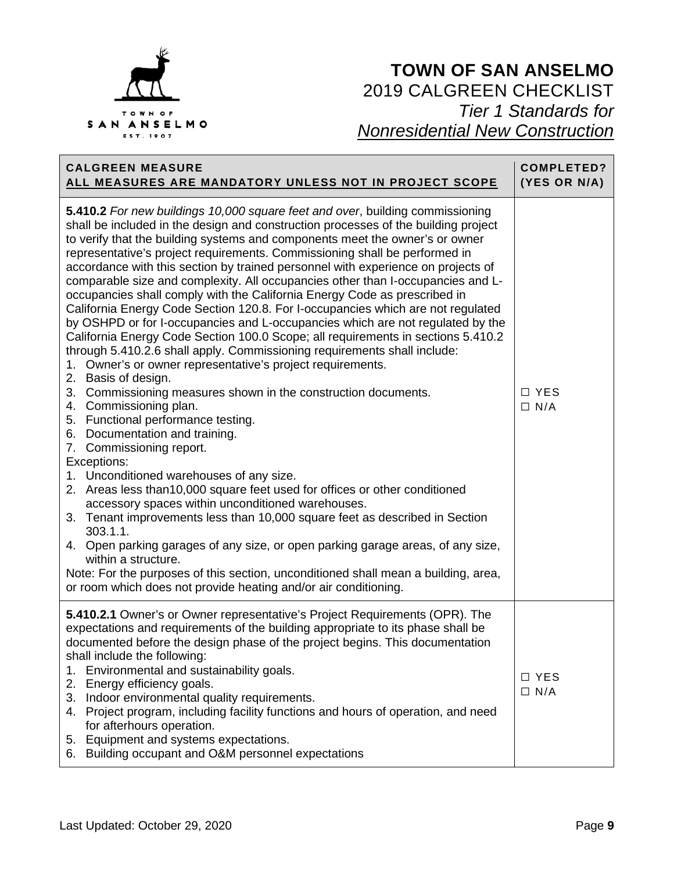

| <b>CALGREEN MEASURE</b><br>ALL MEASURES ARE MANDATORY UNLESS NOT IN PROJECT SCOPE                                                                                                                                                                                                                                                                                                                                                                                                                                                                                                                                                                                                                                                                                                                                                                                                                                                                                                                                                                                                                                                                                                                                                                                                                                                                                                                                                                                                                                                                                                                                                                                                                                                                                            | <b>COMPLETED?</b><br>(YES OR N/A) |
|------------------------------------------------------------------------------------------------------------------------------------------------------------------------------------------------------------------------------------------------------------------------------------------------------------------------------------------------------------------------------------------------------------------------------------------------------------------------------------------------------------------------------------------------------------------------------------------------------------------------------------------------------------------------------------------------------------------------------------------------------------------------------------------------------------------------------------------------------------------------------------------------------------------------------------------------------------------------------------------------------------------------------------------------------------------------------------------------------------------------------------------------------------------------------------------------------------------------------------------------------------------------------------------------------------------------------------------------------------------------------------------------------------------------------------------------------------------------------------------------------------------------------------------------------------------------------------------------------------------------------------------------------------------------------------------------------------------------------------------------------------------------------|-----------------------------------|
| 5.410.2 For new buildings 10,000 square feet and over, building commissioning<br>shall be included in the design and construction processes of the building project<br>to verify that the building systems and components meet the owner's or owner<br>representative's project requirements. Commissioning shall be performed in<br>accordance with this section by trained personnel with experience on projects of<br>comparable size and complexity. All occupancies other than I-occupancies and L-<br>occupancies shall comply with the California Energy Code as prescribed in<br>California Energy Code Section 120.8. For I-occupancies which are not regulated<br>by OSHPD or for I-occupancies and L-occupancies which are not regulated by the<br>California Energy Code Section 100.0 Scope; all requirements in sections 5.410.2<br>through 5.410.2.6 shall apply. Commissioning requirements shall include:<br>1. Owner's or owner representative's project requirements.<br>2. Basis of design.<br>3. Commissioning measures shown in the construction documents.<br>4. Commissioning plan.<br>5. Functional performance testing.<br>6. Documentation and training.<br>7. Commissioning report.<br>Exceptions:<br>1. Unconditioned warehouses of any size.<br>2. Areas less than 10,000 square feet used for offices or other conditioned<br>accessory spaces within unconditioned warehouses.<br>3. Tenant improvements less than 10,000 square feet as described in Section<br>303.1.1.<br>4. Open parking garages of any size, or open parking garage areas, of any size,<br>within a structure.<br>Note: For the purposes of this section, unconditioned shall mean a building, area,<br>or room which does not provide heating and/or air conditioning. | □ YES<br>$\Box$ N/A               |
| 5.410.2.1 Owner's or Owner representative's Project Requirements (OPR). The<br>expectations and requirements of the building appropriate to its phase shall be<br>documented before the design phase of the project begins. This documentation<br>shall include the following:<br>Environmental and sustainability goals.<br>1.<br>2. Energy efficiency goals.<br>3. Indoor environmental quality requirements.<br>4. Project program, including facility functions and hours of operation, and need<br>for afterhours operation.<br>Equipment and systems expectations.<br>5.<br>6. Building occupant and O&M personnel expectations                                                                                                                                                                                                                                                                                                                                                                                                                                                                                                                                                                                                                                                                                                                                                                                                                                                                                                                                                                                                                                                                                                                                        | $\Box$ YES<br>$\Box$ N/A          |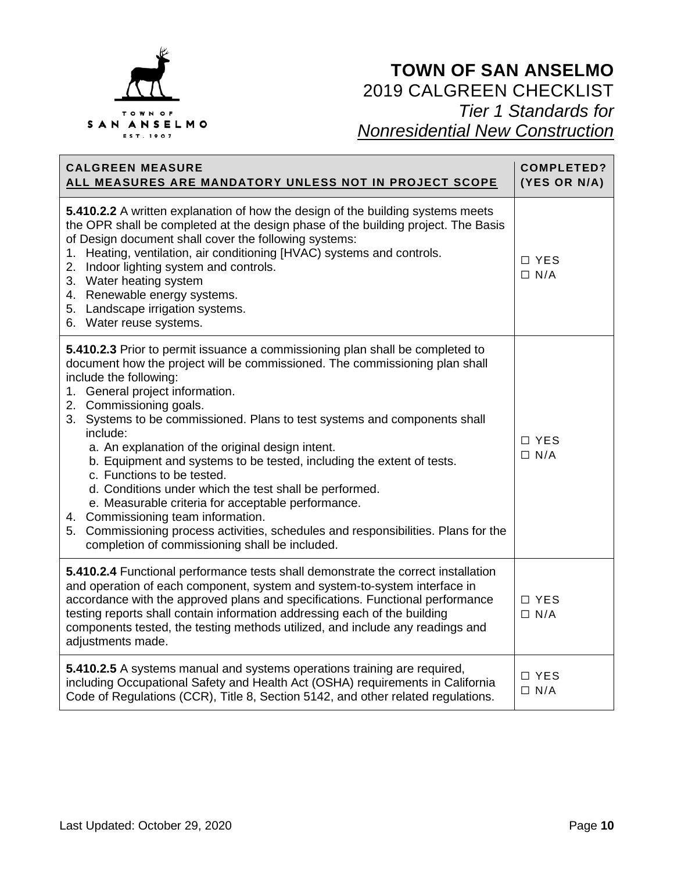

| <b>CALGREEN MEASURE</b><br>ALL MEASURES ARE MANDATORY UNLESS NOT IN PROJECT SCOPE                                                                                                                                                                                                                                                                                                                                                                                                                                                                                                                                                                                                                                                                                                                      | COMPLETED?<br>(YES OR N/A) |
|--------------------------------------------------------------------------------------------------------------------------------------------------------------------------------------------------------------------------------------------------------------------------------------------------------------------------------------------------------------------------------------------------------------------------------------------------------------------------------------------------------------------------------------------------------------------------------------------------------------------------------------------------------------------------------------------------------------------------------------------------------------------------------------------------------|----------------------------|
| 5.410.2.2 A written explanation of how the design of the building systems meets<br>the OPR shall be completed at the design phase of the building project. The Basis<br>of Design document shall cover the following systems:<br>1. Heating, ventilation, air conditioning [HVAC) systems and controls.<br>2. Indoor lighting system and controls.<br>3. Water heating system<br>4. Renewable energy systems.<br>5. Landscape irrigation systems.<br>6. Water reuse systems.                                                                                                                                                                                                                                                                                                                           | □ YES<br>$\Box$ N/A        |
| 5.410.2.3 Prior to permit issuance a commissioning plan shall be completed to<br>document how the project will be commissioned. The commissioning plan shall<br>include the following:<br>1. General project information.<br>2. Commissioning goals.<br>3. Systems to be commissioned. Plans to test systems and components shall<br>include:<br>a. An explanation of the original design intent.<br>b. Equipment and systems to be tested, including the extent of tests.<br>c. Functions to be tested.<br>d. Conditions under which the test shall be performed.<br>e. Measurable criteria for acceptable performance.<br>4. Commissioning team information.<br>5. Commissioning process activities, schedules and responsibilities. Plans for the<br>completion of commissioning shall be included. | $\Box$ YES<br>$\Box$ N/A   |
| 5.410.2.4 Functional performance tests shall demonstrate the correct installation<br>and operation of each component, system and system-to-system interface in<br>accordance with the approved plans and specifications. Functional performance<br>testing reports shall contain information addressing each of the building<br>components tested, the testing methods utilized, and include any readings and<br>adjustments made.                                                                                                                                                                                                                                                                                                                                                                     | □ YES<br>$\Box$ N/A        |
| 5.410.2.5 A systems manual and systems operations training are required,<br>including Occupational Safety and Health Act (OSHA) requirements in California<br>Code of Regulations (CCR), Title 8, Section 5142, and other related regulations.                                                                                                                                                                                                                                                                                                                                                                                                                                                                                                                                                         | □ YES<br>$\Box$ N/A        |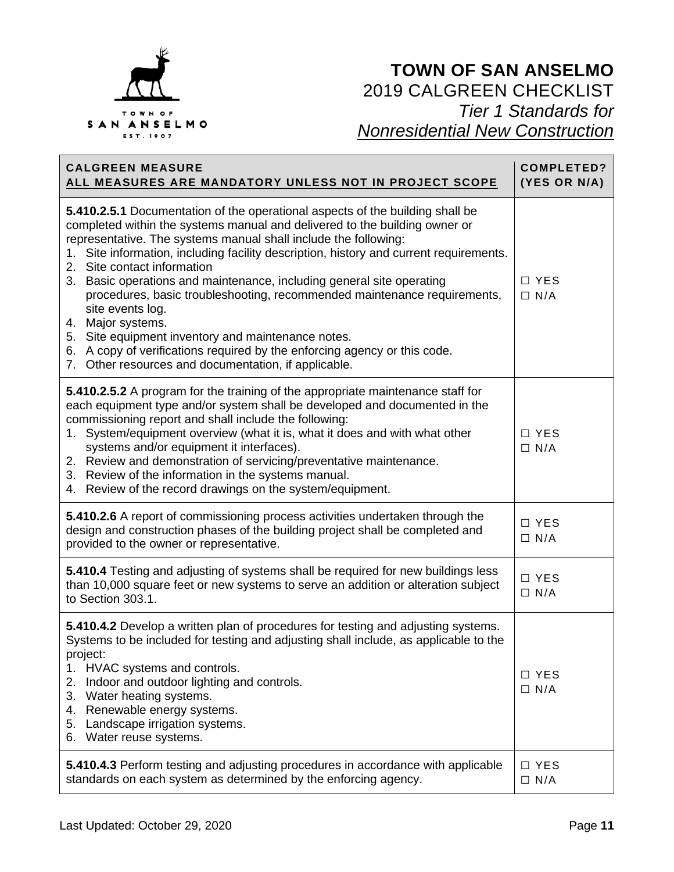

| <b>CALGREEN MEASURE</b><br>ALL MEASURES ARE MANDATORY UNLESS NOT IN PROJECT SCOPE                                                                                                                                                                                                                                                                                                                                                                                                                                                                                                                                                                                                                                                                | <b>COMPLETED?</b><br>(YES OR N/A) |
|--------------------------------------------------------------------------------------------------------------------------------------------------------------------------------------------------------------------------------------------------------------------------------------------------------------------------------------------------------------------------------------------------------------------------------------------------------------------------------------------------------------------------------------------------------------------------------------------------------------------------------------------------------------------------------------------------------------------------------------------------|-----------------------------------|
| 5.410.2.5.1 Documentation of the operational aspects of the building shall be<br>completed within the systems manual and delivered to the building owner or<br>representative. The systems manual shall include the following:<br>1. Site information, including facility description, history and current requirements.<br>2. Site contact information<br>3. Basic operations and maintenance, including general site operating<br>procedures, basic troubleshooting, recommended maintenance requirements,<br>site events log.<br>4. Major systems.<br>5. Site equipment inventory and maintenance notes.<br>6. A copy of verifications required by the enforcing agency or this code.<br>7. Other resources and documentation, if applicable. | □ YES<br>$\Box$ N/A               |
| 5.410.2.5.2 A program for the training of the appropriate maintenance staff for<br>each equipment type and/or system shall be developed and documented in the<br>commissioning report and shall include the following:<br>1. System/equipment overview (what it is, what it does and with what other<br>systems and/or equipment it interfaces).<br>2. Review and demonstration of servicing/preventative maintenance.<br>3. Review of the information in the systems manual.<br>4. Review of the record drawings on the system/equipment.                                                                                                                                                                                                       | □ YES<br>$\Box$ N/A               |
| 5.410.2.6 A report of commissioning process activities undertaken through the<br>design and construction phases of the building project shall be completed and<br>provided to the owner or representative.                                                                                                                                                                                                                                                                                                                                                                                                                                                                                                                                       | □ YES<br>$\Box$ N/A               |
| 5.410.4 Testing and adjusting of systems shall be required for new buildings less<br>than 10,000 square feet or new systems to serve an addition or alteration subject<br>to Section 303.1.                                                                                                                                                                                                                                                                                                                                                                                                                                                                                                                                                      | □ YES<br>$\Box$ N/A               |
| 5.410.4.2 Develop a written plan of procedures for testing and adjusting systems.<br>Systems to be included for testing and adjusting shall include, as applicable to the<br>project:<br>1. HVAC systems and controls.<br>2.<br>Indoor and outdoor lighting and controls.<br>3. Water heating systems.<br>4. Renewable energy systems.<br>5. Landscape irrigation systems.<br>6. Water reuse systems.                                                                                                                                                                                                                                                                                                                                            | $\Box$ YES<br>$\Box$ N/A          |
| 5.410.4.3 Perform testing and adjusting procedures in accordance with applicable<br>standards on each system as determined by the enforcing agency.                                                                                                                                                                                                                                                                                                                                                                                                                                                                                                                                                                                              | $\Box$ YES<br>$\Box$ N/A          |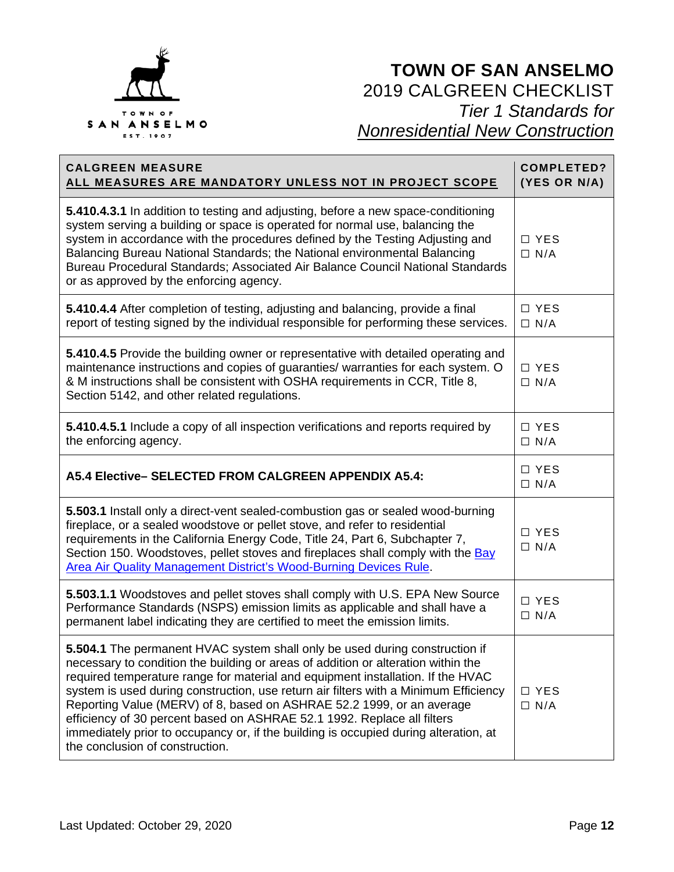

| <b>CALGREEN MEASURE</b><br>ALL MEASURES ARE MANDATORY UNLESS NOT IN PROJECT SCOPE                                                                                                                                                                                                                                                                                                                                                                                                                                                                                                                                          | <b>COMPLETED?</b><br>(YES OR N/A) |
|----------------------------------------------------------------------------------------------------------------------------------------------------------------------------------------------------------------------------------------------------------------------------------------------------------------------------------------------------------------------------------------------------------------------------------------------------------------------------------------------------------------------------------------------------------------------------------------------------------------------------|-----------------------------------|
| 5.410.4.3.1 In addition to testing and adjusting, before a new space-conditioning<br>system serving a building or space is operated for normal use, balancing the<br>system in accordance with the procedures defined by the Testing Adjusting and<br>Balancing Bureau National Standards; the National environmental Balancing<br>Bureau Procedural Standards; Associated Air Balance Council National Standards<br>or as approved by the enforcing agency.                                                                                                                                                               | $\Box$ YES<br>$\Box$ N/A          |
| 5.410.4.4 After completion of testing, adjusting and balancing, provide a final<br>report of testing signed by the individual responsible for performing these services.                                                                                                                                                                                                                                                                                                                                                                                                                                                   | $\Box$ YES<br>$\Box$ N/A          |
| 5.410.4.5 Provide the building owner or representative with detailed operating and<br>maintenance instructions and copies of guaranties/ warranties for each system. O<br>& M instructions shall be consistent with OSHA requirements in CCR, Title 8,<br>Section 5142, and other related regulations.                                                                                                                                                                                                                                                                                                                     | □ YES<br>$\Box$ N/A               |
| 5.410.4.5.1 Include a copy of all inspection verifications and reports required by<br>the enforcing agency.                                                                                                                                                                                                                                                                                                                                                                                                                                                                                                                | □ YES<br>$\Box$ N/A               |
| A5.4 Elective- SELECTED FROM CALGREEN APPENDIX A5.4:                                                                                                                                                                                                                                                                                                                                                                                                                                                                                                                                                                       | $\Box$ YES<br>$\Box$ N/A          |
| 5.503.1 Install only a direct-vent sealed-combustion gas or sealed wood-burning<br>fireplace, or a sealed woodstove or pellet stove, and refer to residential<br>requirements in the California Energy Code, Title 24, Part 6, Subchapter 7,<br>Section 150. Woodstoves, pellet stoves and fireplaces shall comply with the Bay<br>Area Air Quality Management District's Wood-Burning Devices Rule.                                                                                                                                                                                                                       | □ YES<br>$\Box$ N/A               |
| 5.503.1.1 Woodstoves and pellet stoves shall comply with U.S. EPA New Source<br>Performance Standards (NSPS) emission limits as applicable and shall have a<br>permanent label indicating they are certified to meet the emission limits.                                                                                                                                                                                                                                                                                                                                                                                  | □ YES<br>$\Box$ N/A               |
| 5.504.1 The permanent HVAC system shall only be used during construction if<br>necessary to condition the building or areas of addition or alteration within the<br>required temperature range for material and equipment installation. If the HVAC<br>system is used during construction, use return air filters with a Minimum Efficiency<br>Reporting Value (MERV) of 8, based on ASHRAE 52.2 1999, or an average<br>efficiency of 30 percent based on ASHRAE 52.1 1992. Replace all filters<br>immediately prior to occupancy or, if the building is occupied during alteration, at<br>the conclusion of construction. | □ YES<br>$\Box$ N/A               |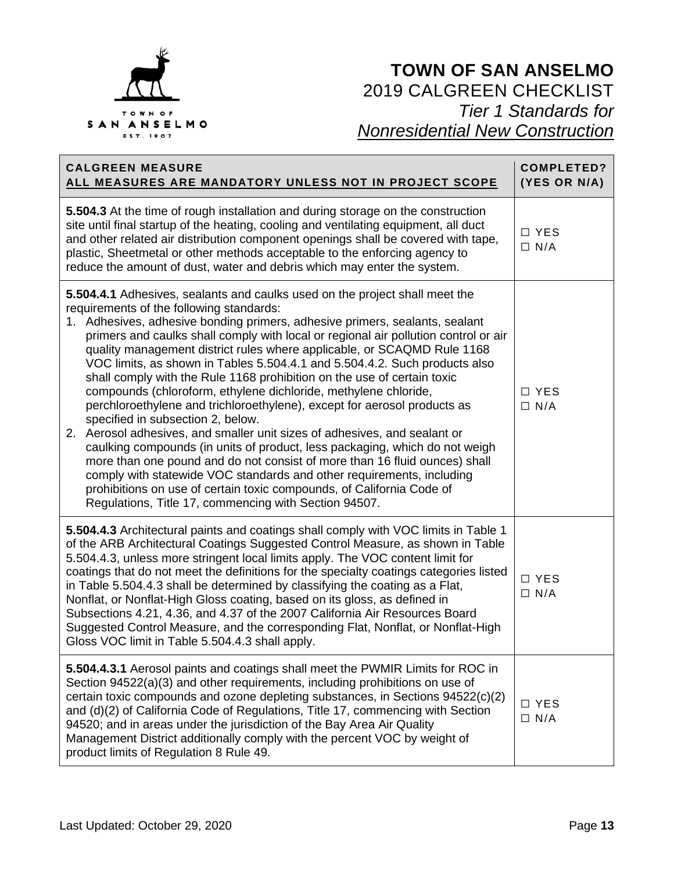

| <b>CALGREEN MEASURE</b><br>ALL MEASURES ARE MANDATORY UNLESS NOT IN PROJECT SCOPE                                                                                                                                                                                                                                                                                                                                                                                                                                                                                                                                                                                                                                                                                                                                                                                                                                                                                                                                                                                                                                                                                          | <b>COMPLETED?</b><br>(YES OR N/A) |
|----------------------------------------------------------------------------------------------------------------------------------------------------------------------------------------------------------------------------------------------------------------------------------------------------------------------------------------------------------------------------------------------------------------------------------------------------------------------------------------------------------------------------------------------------------------------------------------------------------------------------------------------------------------------------------------------------------------------------------------------------------------------------------------------------------------------------------------------------------------------------------------------------------------------------------------------------------------------------------------------------------------------------------------------------------------------------------------------------------------------------------------------------------------------------|-----------------------------------|
| 5.504.3 At the time of rough installation and during storage on the construction<br>site until final startup of the heating, cooling and ventilating equipment, all duct<br>and other related air distribution component openings shall be covered with tape,<br>plastic, Sheetmetal or other methods acceptable to the enforcing agency to<br>reduce the amount of dust, water and debris which may enter the system.                                                                                                                                                                                                                                                                                                                                                                                                                                                                                                                                                                                                                                                                                                                                                     | □ YES<br>$\Box$ N/A               |
| 5.504.4.1 Adhesives, sealants and caulks used on the project shall meet the<br>requirements of the following standards:<br>1. Adhesives, adhesive bonding primers, adhesive primers, sealants, sealant<br>primers and caulks shall comply with local or regional air pollution control or air<br>quality management district rules where applicable, or SCAQMD Rule 1168<br>VOC limits, as shown in Tables 5.504.4.1 and 5.504.4.2. Such products also<br>shall comply with the Rule 1168 prohibition on the use of certain toxic<br>compounds (chloroform, ethylene dichloride, methylene chloride,<br>perchloroethylene and trichloroethylene), except for aerosol products as<br>specified in subsection 2, below.<br>2. Aerosol adhesives, and smaller unit sizes of adhesives, and sealant or<br>caulking compounds (in units of product, less packaging, which do not weigh<br>more than one pound and do not consist of more than 16 fluid ounces) shall<br>comply with statewide VOC standards and other requirements, including<br>prohibitions on use of certain toxic compounds, of California Code of<br>Regulations, Title 17, commencing with Section 94507. | □ YES<br>$\Box$ N/A               |
| 5.504.4.3 Architectural paints and coatings shall comply with VOC limits in Table 1<br>of the ARB Architectural Coatings Suggested Control Measure, as shown in Table<br>5.504.4.3, unless more stringent local limits apply. The VOC content limit for<br>coatings that do not meet the definitions for the specialty coatings categories listed<br>in Table 5.504.4.3 shall be determined by classifying the coating as a Flat,<br>Nonflat, or Nonflat-High Gloss coating, based on its gloss, as defined in<br>Subsections 4.21, 4.36, and 4.37 of the 2007 California Air Resources Board<br>Suggested Control Measure, and the corresponding Flat, Nonflat, or Nonflat-High<br>Gloss VOC limit in Table 5.504.4.3 shall apply.                                                                                                                                                                                                                                                                                                                                                                                                                                        | □ YES<br>$\Box$ N/A               |
| 5.504.4.3.1 Aerosol paints and coatings shall meet the PWMIR Limits for ROC in<br>Section 94522(a)(3) and other requirements, including prohibitions on use of<br>certain toxic compounds and ozone depleting substances, in Sections 94522(c)(2)<br>and (d)(2) of California Code of Regulations, Title 17, commencing with Section<br>94520; and in areas under the jurisdiction of the Bay Area Air Quality<br>Management District additionally comply with the percent VOC by weight of<br>product limits of Regulation 8 Rule 49.                                                                                                                                                                                                                                                                                                                                                                                                                                                                                                                                                                                                                                     | □ YES<br>$\Box$ N/A               |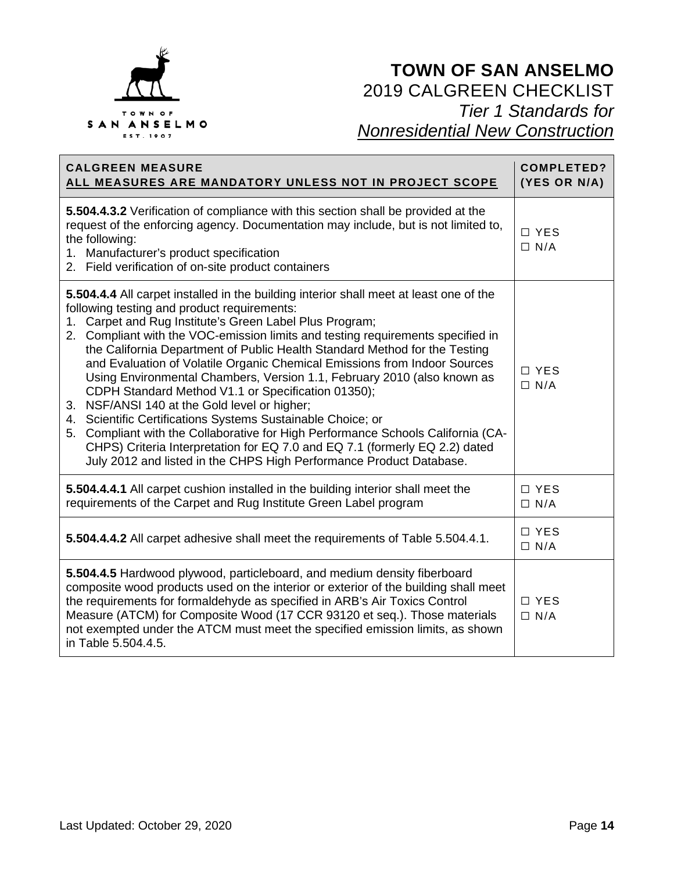

| <b>CALGREEN MEASURE</b><br>ALL MEASURES ARE MANDATORY UNLESS NOT IN PROJECT SCOPE                                                                                                                                                                                                                                                                                                                                                                                                                                                                                                                                                                                                                                                                                                                                                                                                                                                        | <b>COMPLETED?</b><br>(YES OR N/A) |
|------------------------------------------------------------------------------------------------------------------------------------------------------------------------------------------------------------------------------------------------------------------------------------------------------------------------------------------------------------------------------------------------------------------------------------------------------------------------------------------------------------------------------------------------------------------------------------------------------------------------------------------------------------------------------------------------------------------------------------------------------------------------------------------------------------------------------------------------------------------------------------------------------------------------------------------|-----------------------------------|
| 5.504.4.3.2 Verification of compliance with this section shall be provided at the<br>request of the enforcing agency. Documentation may include, but is not limited to,<br>the following:<br>1. Manufacturer's product specification<br>2. Field verification of on-site product containers                                                                                                                                                                                                                                                                                                                                                                                                                                                                                                                                                                                                                                              | □ YES<br>$\Box$ N/A               |
| 5.504.4.4 All carpet installed in the building interior shall meet at least one of the<br>following testing and product requirements:<br>1. Carpet and Rug Institute's Green Label Plus Program;<br>2. Compliant with the VOC-emission limits and testing requirements specified in<br>the California Department of Public Health Standard Method for the Testing<br>and Evaluation of Volatile Organic Chemical Emissions from Indoor Sources<br>Using Environmental Chambers, Version 1.1, February 2010 (also known as<br>CDPH Standard Method V1.1 or Specification 01350);<br>3. NSF/ANSI 140 at the Gold level or higher;<br>4. Scientific Certifications Systems Sustainable Choice; or<br>5. Compliant with the Collaborative for High Performance Schools California (CA-<br>CHPS) Criteria Interpretation for EQ 7.0 and EQ 7.1 (formerly EQ 2.2) dated<br>July 2012 and listed in the CHPS High Performance Product Database. | $\Box$ YES<br>$\Box$ N/A          |
| 5.504.4.4.1 All carpet cushion installed in the building interior shall meet the<br>requirements of the Carpet and Rug Institute Green Label program                                                                                                                                                                                                                                                                                                                                                                                                                                                                                                                                                                                                                                                                                                                                                                                     | $\Box$ YES<br>$\Box$ N/A          |
| 5.504.4.4.2 All carpet adhesive shall meet the requirements of Table 5.504.4.1.                                                                                                                                                                                                                                                                                                                                                                                                                                                                                                                                                                                                                                                                                                                                                                                                                                                          | $\Box$ YES<br>$\Box$ N/A          |
| 5.504.4.5 Hardwood plywood, particleboard, and medium density fiberboard<br>composite wood products used on the interior or exterior of the building shall meet<br>the requirements for formaldehyde as specified in ARB's Air Toxics Control<br>Measure (ATCM) for Composite Wood (17 CCR 93120 et seq.). Those materials<br>not exempted under the ATCM must meet the specified emission limits, as shown<br>in Table 5.504.4.5.                                                                                                                                                                                                                                                                                                                                                                                                                                                                                                       | □ YES<br>$\Box$ N/A               |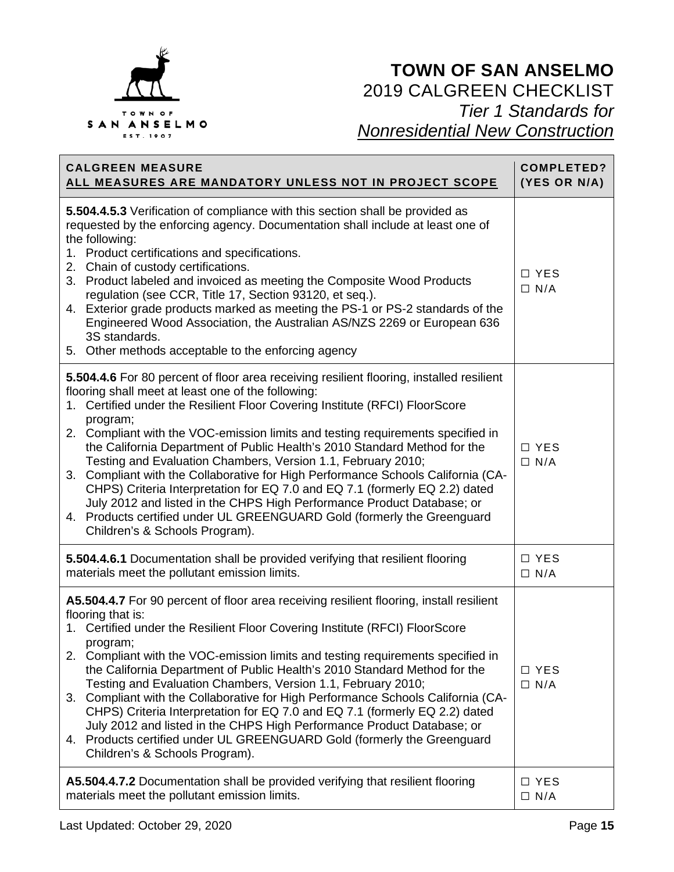

| <b>CALGREEN MEASURE</b>                                                                                                                                                                                                                                                                                                                                                                                                                                                                                                                                                                                                                                                                                                                                                                                                             | <b>COMPLETED?</b>        |
|-------------------------------------------------------------------------------------------------------------------------------------------------------------------------------------------------------------------------------------------------------------------------------------------------------------------------------------------------------------------------------------------------------------------------------------------------------------------------------------------------------------------------------------------------------------------------------------------------------------------------------------------------------------------------------------------------------------------------------------------------------------------------------------------------------------------------------------|--------------------------|
| ALL MEASURES ARE MANDATORY UNLESS NOT IN PROJECT SCOPE                                                                                                                                                                                                                                                                                                                                                                                                                                                                                                                                                                                                                                                                                                                                                                              | (YES OR N/A)             |
| 5.504.4.5.3 Verification of compliance with this section shall be provided as<br>requested by the enforcing agency. Documentation shall include at least one of<br>the following:<br>1. Product certifications and specifications.<br>2. Chain of custody certifications.<br>3. Product labeled and invoiced as meeting the Composite Wood Products<br>regulation (see CCR, Title 17, Section 93120, et seq.).<br>4. Exterior grade products marked as meeting the PS-1 or PS-2 standards of the<br>Engineered Wood Association, the Australian AS/NZS 2269 or European 636<br>3S standards.<br>5. Other methods acceptable to the enforcing agency                                                                                                                                                                                 | $\Box$ YES<br>$\Box$ N/A |
| 5.504.4.6 For 80 percent of floor area receiving resilient flooring, installed resilient<br>flooring shall meet at least one of the following:<br>1. Certified under the Resilient Floor Covering Institute (RFCI) FloorScore<br>program;<br>2. Compliant with the VOC-emission limits and testing requirements specified in<br>the California Department of Public Health's 2010 Standard Method for the<br>Testing and Evaluation Chambers, Version 1.1, February 2010;<br>3. Compliant with the Collaborative for High Performance Schools California (CA-<br>CHPS) Criteria Interpretation for EQ 7.0 and EQ 7.1 (formerly EQ 2.2) dated<br>July 2012 and listed in the CHPS High Performance Product Database; or<br>4. Products certified under UL GREENGUARD Gold (formerly the Greenguard<br>Children's & Schools Program). | $\Box$ YES<br>$\Box$ N/A |
| 5.504.4.6.1 Documentation shall be provided verifying that resilient flooring                                                                                                                                                                                                                                                                                                                                                                                                                                                                                                                                                                                                                                                                                                                                                       | $\Box$ YES               |
| materials meet the pollutant emission limits.                                                                                                                                                                                                                                                                                                                                                                                                                                                                                                                                                                                                                                                                                                                                                                                       | $\Box$ N/A               |
| A5.504.4.7 For 90 percent of floor area receiving resilient flooring, install resilient<br>flooring that is:<br>1. Certified under the Resilient Floor Covering Institute (RFCI) FloorScore<br>program;<br>2. Compliant with the VOC-emission limits and testing requirements specified in<br>the California Department of Public Health's 2010 Standard Method for the<br>Testing and Evaluation Chambers, Version 1.1, February 2010;<br>3. Compliant with the Collaborative for High Performance Schools California (CA-<br>CHPS) Criteria Interpretation for EQ 7.0 and EQ 7.1 (formerly EQ 2.2) dated<br>July 2012 and listed in the CHPS High Performance Product Database; or<br>4. Products certified under UL GREENGUARD Gold (formerly the Greenguard<br>Children's & Schools Program).                                   | □ YES<br>$\Box$ N/A      |
| A5.504.4.7.2 Documentation shall be provided verifying that resilient flooring                                                                                                                                                                                                                                                                                                                                                                                                                                                                                                                                                                                                                                                                                                                                                      | □ YES                    |
| materials meet the pollutant emission limits.                                                                                                                                                                                                                                                                                                                                                                                                                                                                                                                                                                                                                                                                                                                                                                                       | $\Box$ N/A               |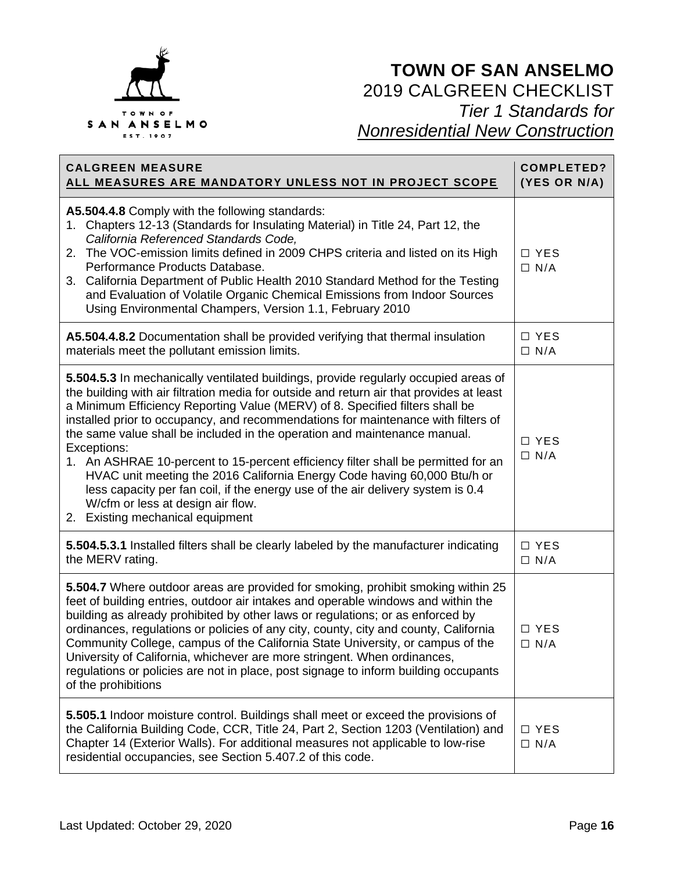

| <b>CALGREEN MEASURE</b><br>ALL MEASURES ARE MANDATORY UNLESS NOT IN PROJECT SCOPE                                                                                                                                                                                                                                                                                                                                                                                                                                                                                                                                                                                                                                                                                             | <b>COMPLETED?</b><br>(YES OR N/A) |
|-------------------------------------------------------------------------------------------------------------------------------------------------------------------------------------------------------------------------------------------------------------------------------------------------------------------------------------------------------------------------------------------------------------------------------------------------------------------------------------------------------------------------------------------------------------------------------------------------------------------------------------------------------------------------------------------------------------------------------------------------------------------------------|-----------------------------------|
| A5.504.4.8 Comply with the following standards:<br>1. Chapters 12-13 (Standards for Insulating Material) in Title 24, Part 12, the<br>California Referenced Standards Code,<br>2. The VOC-emission limits defined in 2009 CHPS criteria and listed on its High<br>Performance Products Database.<br>3. California Department of Public Health 2010 Standard Method for the Testing<br>and Evaluation of Volatile Organic Chemical Emissions from Indoor Sources<br>Using Environmental Champers, Version 1.1, February 2010                                                                                                                                                                                                                                                   | □ YES<br>$\Box$ N/A               |
| A5.504.4.8.2 Documentation shall be provided verifying that thermal insulation<br>materials meet the pollutant emission limits.                                                                                                                                                                                                                                                                                                                                                                                                                                                                                                                                                                                                                                               | $\Box$ YES<br>$\Box$ N/A          |
| 5.504.5.3 In mechanically ventilated buildings, provide regularly occupied areas of<br>the building with air filtration media for outside and return air that provides at least<br>a Minimum Efficiency Reporting Value (MERV) of 8. Specified filters shall be<br>installed prior to occupancy, and recommendations for maintenance with filters of<br>the same value shall be included in the operation and maintenance manual.<br>Exceptions:<br>1. An ASHRAE 10-percent to 15-percent efficiency filter shall be permitted for an<br>HVAC unit meeting the 2016 California Energy Code having 60,000 Btu/h or<br>less capacity per fan coil, if the energy use of the air delivery system is 0.4<br>W/cfm or less at design air flow.<br>2. Existing mechanical equipment | □ YES<br>$\Box$ N/A               |
| 5.504.5.3.1 Installed filters shall be clearly labeled by the manufacturer indicating<br>the MERV rating.                                                                                                                                                                                                                                                                                                                                                                                                                                                                                                                                                                                                                                                                     | $\Box$ YES<br>$\Box$ N/A          |
| 5.504.7 Where outdoor areas are provided for smoking, prohibit smoking within 25<br>feet of building entries, outdoor air intakes and operable windows and within the<br>building as already prohibited by other laws or regulations; or as enforced by<br>ordinances, regulations or policies of any city, county, city and county, California<br>Community College, campus of the California State University, or campus of the<br>University of California, whichever are more stringent. When ordinances,<br>regulations or policies are not in place, post signage to inform building occupants<br>of the prohibitions                                                                                                                                                   | □ YES<br>$\Box$ N/A               |
| 5.505.1 Indoor moisture control. Buildings shall meet or exceed the provisions of<br>the California Building Code, CCR, Title 24, Part 2, Section 1203 (Ventilation) and<br>Chapter 14 (Exterior Walls). For additional measures not applicable to low-rise<br>residential occupancies, see Section 5.407.2 of this code.                                                                                                                                                                                                                                                                                                                                                                                                                                                     | □ YES<br>$\Box$ N/A               |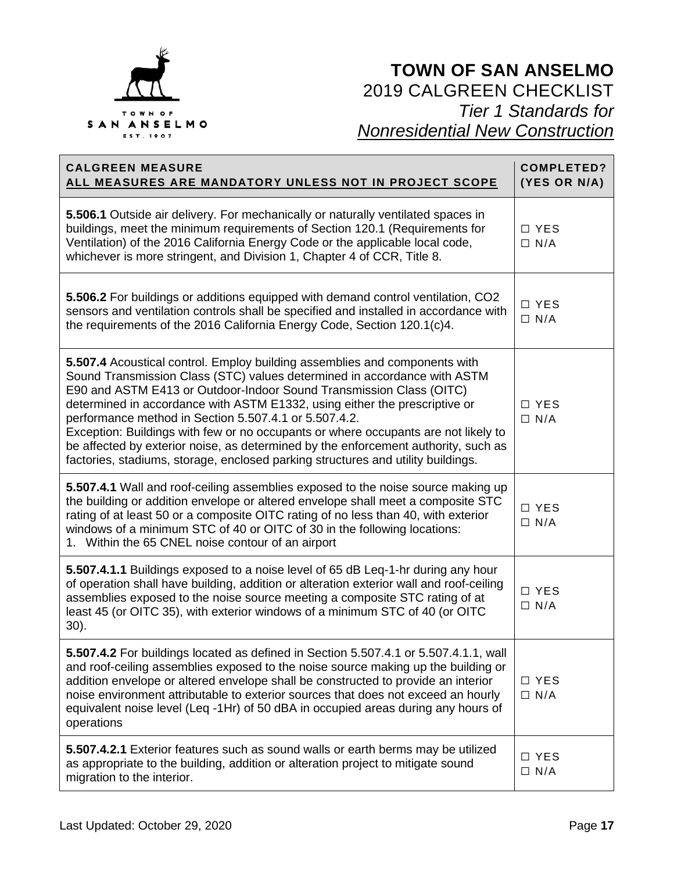

| <b>CALGREEN MEASURE</b><br>ALL MEASURES ARE MANDATORY UNLESS NOT IN PROJECT SCOPE                                                                                                                                                                                                                                                                                                                                                                                                                                                                                                                                                    | <b>COMPLETED?</b><br>(YES OR N/A) |
|--------------------------------------------------------------------------------------------------------------------------------------------------------------------------------------------------------------------------------------------------------------------------------------------------------------------------------------------------------------------------------------------------------------------------------------------------------------------------------------------------------------------------------------------------------------------------------------------------------------------------------------|-----------------------------------|
| 5.506.1 Outside air delivery. For mechanically or naturally ventilated spaces in<br>buildings, meet the minimum requirements of Section 120.1 (Requirements for<br>Ventilation) of the 2016 California Energy Code or the applicable local code,<br>whichever is more stringent, and Division 1, Chapter 4 of CCR, Title 8.                                                                                                                                                                                                                                                                                                          | $\Box$ YES<br>$\Box$ N/A          |
| 5.506.2 For buildings or additions equipped with demand control ventilation, CO2<br>sensors and ventilation controls shall be specified and installed in accordance with<br>the requirements of the 2016 California Energy Code, Section 120.1(c)4.                                                                                                                                                                                                                                                                                                                                                                                  | □ YES<br>$\Box$ N/A               |
| 5.507.4 Acoustical control. Employ building assemblies and components with<br>Sound Transmission Class (STC) values determined in accordance with ASTM<br>E90 and ASTM E413 or Outdoor-Indoor Sound Transmission Class (OITC)<br>determined in accordance with ASTM E1332, using either the prescriptive or<br>performance method in Section 5.507.4.1 or 5.507.4.2.<br>Exception: Buildings with few or no occupants or where occupants are not likely to<br>be affected by exterior noise, as determined by the enforcement authority, such as<br>factories, stadiums, storage, enclosed parking structures and utility buildings. | $\Box$ YES<br>$\Box$ N/A          |
| 5.507.4.1 Wall and roof-ceiling assemblies exposed to the noise source making up<br>the building or addition envelope or altered envelope shall meet a composite STC<br>rating of at least 50 or a composite OITC rating of no less than 40, with exterior<br>windows of a minimum STC of 40 or OITC of 30 in the following locations:<br>1. Within the 65 CNEL noise contour of an airport                                                                                                                                                                                                                                          | □ YES<br>$\Box$ N/A               |
| 5.507.4.1.1 Buildings exposed to a noise level of 65 dB Leq-1-hr during any hour<br>of operation shall have building, addition or alteration exterior wall and roof-ceiling<br>assemblies exposed to the noise source meeting a composite STC rating of at<br>least 45 (or OITC 35), with exterior windows of a minimum STC of 40 (or OITC<br>30).                                                                                                                                                                                                                                                                                   | □ YES<br>$\Box$ N/A               |
| 5.507.4.2 For buildings located as defined in Section 5.507.4.1 or 5.507.4.1.1, wall<br>and roof-ceiling assemblies exposed to the noise source making up the building or<br>addition envelope or altered envelope shall be constructed to provide an interior<br>noise environment attributable to exterior sources that does not exceed an hourly<br>equivalent noise level (Leq -1Hr) of 50 dBA in occupied areas during any hours of<br>operations                                                                                                                                                                               | $\Box$ YES<br>$\Box$ N/A          |
| 5.507.4.2.1 Exterior features such as sound walls or earth berms may be utilized<br>as appropriate to the building, addition or alteration project to mitigate sound<br>migration to the interior.                                                                                                                                                                                                                                                                                                                                                                                                                                   | □ YES<br>$\Box$ N/A               |